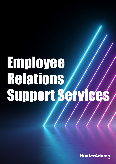# Employee Relations Support Services

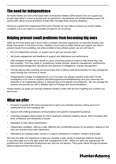# The need for independence

At Hunter Adams we have a first-class team of employee relations (ER) experts who can support you at each step when it comes to issues such as grievances, disciplinaries and whistle-blowing cases. We partner with clients across all sectors to help them manage these sensitive situations.

Having an experienced independent third party involved not only helps to ensure you remain legally compliant, but it can make for a smoother process for all concerned.

## Helping prevent small problems from becoming big ones

Often we find that clients get in touch when a problem has been ongoing for an extended duration and things have grown to the point of crisis. Getting in touch early to obtain advice and support can help to prevent issues from escalating, but where problems have already grown, we can still help to:

- Run an independent process, or support you to get your process right
- Aid timely engagement and feedback to support with attendance and performance
- Talk managers through how to tackle an issue, providing guidance scripts to help where they may feel uncertain. This may relate to: probationary review process; absence management; performance improvement/management; disciplinary and grievance investigations; change management.
- Provide step-by-step coaching can be provided with or without draft documentation to help manage the move through any concerns or issues
- Independently manage investigations for you if an issue has already reached crisis point, formal investigation of an issue is required (disciplinary/grievance/whistleblowing) and your resources are stretched or an independent person is required due to the specific circumstances. We can manage the process and provide you with a detailed report of findings and recommendations.

Hunter Adams can guide you through whatever situation arises with the aim of getting you to where you want to be.

## What we offer

- Provision of practical HR advice around how to get to your desired outcome, taking account of employment law and managing risk
- Support with drafting employee communications and specific management guidance
- Coaching managers step-by-step on how to approach employee relations issues, which increases skill level, confidence and ownership of issues
- Strategies to help reduce absenteeism
- Independent mediation, offering a safe, effective and confidential process for all parties in dispute to find their own solutions and reach agreement.
- Attendance at meetings either remote or in person dependent on location, situation and budget

We have the skills and experience to help you navigate a wide variety of employee relations issues in a way which gets you to the right result with management of risk. Whilst our team are experienced HR practitioners who understand employment law, they are not lawyers. They guide clients through processes taking employment law into account.

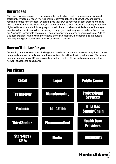## Our process

The Hunter Adams employee relations experts use tried and tested processes and formats to thoroughly investigate, report findings, make recommendations & observations, and provide robust outcomes for our cases. By tapping into their own experience of best practice and case law, as well as that of the wider team, we can ensure every client receives a thoroughly detailed, high-quality service and a follow-up report to help them to make robust decisions and manage any risk to their business. When managing an employee relations process on behalf of a client, our Associate Consultants operate an in depth 'peer review' process to ensure a Hunter Adams Business Manager has reviewed the details of the investigation, the findings and the output; ensuring the highest quality service is always being provided.

## How we'll deliver for you

Depending on the scale of your challenge, we can deliver on an ad-hoc consultancy basis, or we can provide you with a dedicated interim consultant who will work with you in-house. We have an in-house team of senior HR professionals based across the UK, as well as a strong and trusted network of associate consultants.

## Our clients

| <b>Retail</b>                     | <b>Legal</b>          | <b>Public Sector</b>                   |
|-----------------------------------|-----------------------|----------------------------------------|
| <b>Technology</b>                 | <b>Manufacturing</b>  | <b>Professional</b><br><b>Services</b> |
| <b>Finance</b>                    | <b>Education</b>      | Oil & Gas<br><b>Supply Chain</b>       |
| <b>Third Sector</b>               | <b>Pharmaceutical</b> | <b>Health Care</b><br><b>Providers</b> |
| <b>Start-Ups /</b><br><b>SMES</b> | Media                 | <b>Hospitality</b>                     |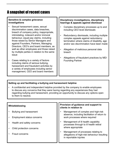## A snapshot of recent cases

#### **Sensitive & complex grievance investigations**

- Sexual harassment cases, sexual discrimination cases, data breaches, breach of company policy, inappropriate, intimidating, indecent and/or immoral behaviour, equal pay claims, including those raised by Senior Managers and against Founders, Partners, Managing Directors, CEO's and board members, as well as other employees and those raised by multiple parties in relation to the same issue
- Cases relating to a variety of factors including claims of serious bullying, harassment and fraudulent activities by a variety of employees including senior management, CEO and board members

#### **Disciplinary investigations, disciplinary hearings & appeals against dismissal**

- Complex disciplinary processes up to and including CEO level dismissals
- Redundancy dismissals, including multiple complex appeals against redundancy termination where claims of disability, age and/or sex discrimination have been made
- Allegation of malicious personal data breach
- Allegations of fraudulent practices by MD/ Founding Partner

#### **Setting up and facilitating a bullying and harassment helpline**

• A confidential and independent helpline provided by the company to enable employees to discuss any concerns that they were having regarding any experiences they had regarding bullying and harassment, providing an opportunity to discuss any options open to them to resolve.

| Whistleblowing                    | Provision of guidance and support to<br>clients in relation to                                                       |  |
|-----------------------------------|----------------------------------------------------------------------------------------------------------------------|--|
| <b>Bullying and harassment</b>    | Management of complex and high-risk<br>absence, including facilitation of return to<br>work processes where required |  |
| <b>Employment status concerns</b> |                                                                                                                      |  |
| Health and safety concerns        | Management of ill health capability<br>processes through to ill health retiral<br>where appropriate                  |  |
| Child protection concerns         |                                                                                                                      |  |
| <b>Fraud concerns</b>             | Management of processes relating to<br>allegations of high-risk behaviour resulting<br>in reportable injuries        |  |